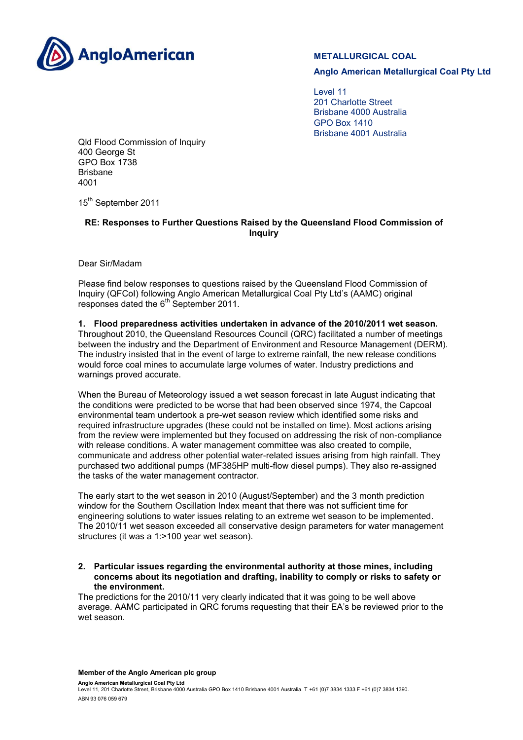

# **METALLURGICAL COAL**

**Anglo American Metallurgical Coal Pty Ltd**

Level 11 201 Charlotte Street Brisbane 4000 Australia GPO Box 1410 Brisbane 4001 Australia

Qld Flood Commission of Inquiry 400 George St GPO Box 1738 Brisbane 4001

15<sup>th</sup> September 2011

## **RE: Responses to Further Questions Raised by the Queensland Flood Commission of Inquiry**

Dear Sir/Madam

Please find below responses to questions raised by the Queensland Flood Commission of Inquiry (QFCoI) following Anglo American Metallurgical Coal Pty Ltd's (AAMC) original responses dated the 6<sup>th</sup> September 2011.

**1. Flood preparedness activities undertaken in advance of the 2010/2011 wet season.**  Throughout 2010, the Queensland Resources Council (QRC) facilitated a number of meetings between the industry and the Department of Environment and Resource Management (DERM). The industry insisted that in the event of large to extreme rainfall, the new release conditions would force coal mines to accumulate large volumes of water. Industry predictions and warnings proved accurate.

When the Bureau of Meteorology issued a wet season forecast in late August indicating that the conditions were predicted to be worse that had been observed since 1974, the Capcoal environmental team undertook a pre-wet season review which identified some risks and required infrastructure upgrades (these could not be installed on time). Most actions arising from the review were implemented but they focused on addressing the risk of non-compliance with release conditions. A water management committee was also created to compile, communicate and address other potential water-related issues arising from high rainfall. They purchased two additional pumps (MF385HP multi-flow diesel pumps). They also re-assigned the tasks of the water management contractor.

The early start to the wet season in 2010 (August/September) and the 3 month prediction window for the Southern Oscillation Index meant that there was not sufficient time for engineering solutions to water issues relating to an extreme wet season to be implemented. The 2010/11 wet season exceeded all conservative design parameters for water management structures (it was a 1:>100 year wet season).

**2. Particular issues regarding the environmental authority at those mines, including concerns about its negotiation and drafting, inability to comply or risks to safety or the environment.** 

The predictions for the 2010/11 very clearly indicated that it was going to be well above average. AAMC participated in QRC forums requesting that their EA's be reviewed prior to the wet season.

**Anglo American Metallurgical Coal Pty Ltd**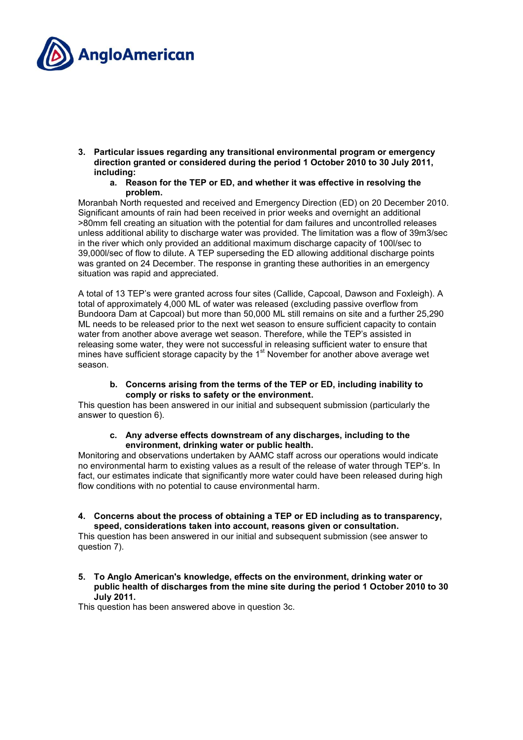

- **3. Particular issues regarding any transitional environmental program or emergency direction granted or considered during the period 1 October 2010 to 30 July 2011, including:** 
	- **a. Reason for the TEP or ED, and whether it was effective in resolving the problem.**

Moranbah North requested and received and Emergency Direction (ED) on 20 December 2010. Significant amounts of rain had been received in prior weeks and overnight an additional >80mm fell creating an situation with the potential for dam failures and uncontrolled releases unless additional ability to discharge water was provided. The limitation was a flow of 39m3/sec in the river which only provided an additional maximum discharge capacity of 100l/sec to 39,000l/sec of flow to dilute. A TEP superseding the ED allowing additional discharge points was granted on 24 December. The response in granting these authorities in an emergency situation was rapid and appreciated.

A total of 13 TEP's were granted across four sites (Callide, Capcoal, Dawson and Foxleigh). A total of approximately 4,000 ML of water was released (excluding passive overflow from Bundoora Dam at Capcoal) but more than 50,000 ML still remains on site and a further 25,290 ML needs to be released prior to the next wet season to ensure sufficient capacity to contain water from another above average wet season. Therefore, while the TEP's assisted in releasing some water, they were not successful in releasing sufficient water to ensure that mines have sufficient storage capacity by the 1<sup>st</sup> November for another above average wet season.

**b. Concerns arising from the terms of the TEP or ED, including inability to comply or risks to safety or the environment.** 

This question has been answered in our initial and subsequent submission (particularly the answer to question 6).

### **c. Any adverse effects downstream of any discharges, including to the environment, drinking water or public health.**

Monitoring and observations undertaken by AAMC staff across our operations would indicate no environmental harm to existing values as a result of the release of water through TEP's. In fact, our estimates indicate that significantly more water could have been released during high flow conditions with no potential to cause environmental harm.

**4. Concerns about the process of obtaining a TEP or ED including as to transparency, speed, considerations taken into account, reasons given or consultation.** 

This question has been answered in our initial and subsequent submission (see answer to question 7).

**5. To Anglo American's knowledge, effects on the environment, drinking water or public health of discharges from the mine site during the period 1 October 2010 to 30 July 2011.** 

This question has been answered above in question 3c.